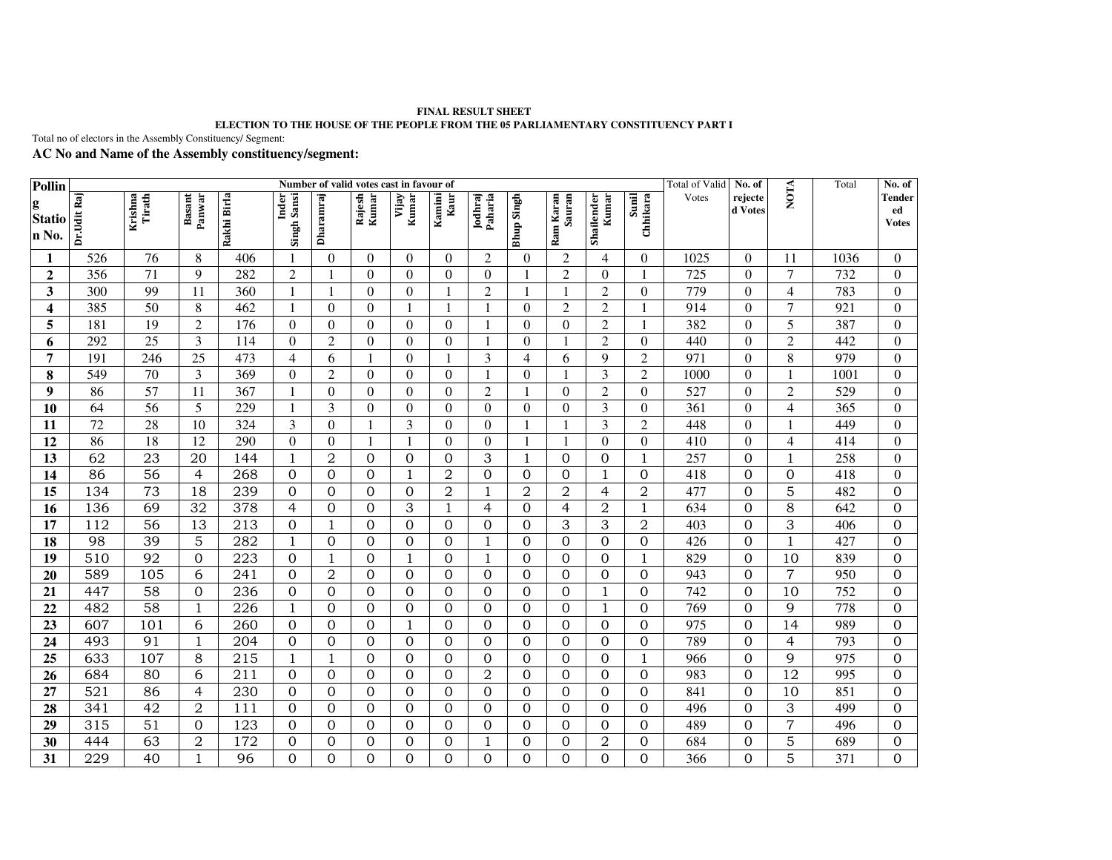## **FINAL RESULT SHEET ELECTION TO THE HOUSE OF THE PEOPLE FROM THE 05 PARLIAMENTARY CONSTITUENCY PART I**

Total no of electors in the Assembly Constituency/ Segment:

## **AC No and Name of the Assembly constituency/segment:**

| Pollin                      | Number of valid votes cast in favour of |                   |                  |                  |                      |                |                  |                  |                |                    |                   |                     |                     | <b>Total of Valid</b> | No. of           |                    | Total              | No. of           |                                                    |
|-----------------------------|-----------------------------------------|-------------------|------------------|------------------|----------------------|----------------|------------------|------------------|----------------|--------------------|-------------------|---------------------|---------------------|-----------------------|------------------|--------------------|--------------------|------------------|----------------------------------------------------|
| g<br><b>Statio</b><br>n No. | Dr.Udit Raj                             | Krishna<br>Tirath | Basant<br>Panwar | Rakhi Birla      | Inder<br>Singh Sansi | Dharamraj      | Rajesh<br>Kumar  | Kumar<br>Vijay   | Kamini<br>Kaur | Jodhraj<br>Paharia | <b>Bhup Singh</b> | Ram Karan<br>Sauran | Shailender<br>Kumar | Sunil<br>Chhikara     | Votes            | rejecte<br>d Votes | <b>NOTA</b>        |                  | <b>Tender</b><br>${\bf e} {\bf d}$<br><b>Votes</b> |
| 1                           | 526                                     | 76                | 8                | 406              | -1                   | $\theta$       | $\theta$         | $\mathbf{0}$     | $\Omega$       | $\overline{2}$     | $\Omega$          | $\overline{2}$      | 4                   | $\Omega$              | 1025             | $\Omega$           | 11                 | 1036             | $\boldsymbol{0}$                                   |
| $\overline{2}$              | 356                                     | 71                | $\overline{9}$   | 282              | $\overline{2}$       |                | $\theta$         | $\boldsymbol{0}$ | $\theta$       | $\theta$           |                   | $\overline{2}$      | $\theta$            |                       | $\overline{725}$ | $\theta$           | $\overline{7}$     | 732              | $\overline{0}$                                     |
| $\overline{\mathbf{3}}$     | 300                                     | 99                | 11               | 360              | $\mathbf{1}$         |                | $\theta$         | $\boldsymbol{0}$ |                | $\overline{2}$     |                   | $\mathbf{1}$        | $\overline{c}$      | $\theta$              | 779              | $\theta$           | $\overline{4}$     | 783              | $\overline{0}$                                     |
| 4                           | 385                                     | 50                | $\,8\,$          | 462              | 1                    | $\theta$       | $\theta$         | $\mathbf{1}$     |                |                    | $\overline{0}$    | $\overline{2}$      | $\overline{c}$      |                       | 914              | $\theta$           | $\overline{7}$     | 921              | $\mathbf{0}$                                       |
| 5                           | 181                                     | 19                | $\overline{2}$   | 176              | $\theta$             | $\theta$       | $\overline{0}$   | $\boldsymbol{0}$ | $\overline{0}$ | $\mathbf{1}$       | $\overline{0}$    | $\overline{0}$      | $\overline{2}$      |                       | 382              | $\theta$           | 5                  | 387              | $\boldsymbol{0}$                                   |
| 6                           | 292                                     | 25                | 3                | 114              | $\theta$             | $\overline{c}$ | $\overline{0}$   | $\boldsymbol{0}$ | $\theta$       | $\mathbf{1}$       | $\Omega$          | 1                   | $\overline{c}$      | $\theta$              | 440              | $\theta$           | $\mathbf 2$        | 442              | $\mathbf{0}$                                       |
| $\overline{7}$              | 191                                     | 246               | 25               | 473              | $\overline{4}$       | 6              |                  | $\mathbf{0}$     | $\mathbf{1}$   | 3                  | $\overline{4}$    | 6                   | 9                   | $\overline{c}$        | 971              | $\theta$           | $\overline{\bf 8}$ | 979              | $\boldsymbol{0}$                                   |
| 8                           | 549                                     | $\overline{70}$   | 3                | 369              | $\Omega$             | $\overline{2}$ | $\Omega$         | $\boldsymbol{0}$ | $\theta$       | $\mathbf{1}$       | $\theta$          | 1                   | 3                   | $\overline{2}$        | 1000             | $\overline{0}$     | $\mathbf{1}$       | 1001             | $\overline{0}$                                     |
| $\boldsymbol{9}$            | 86                                      | 57                | 11               | 367              | 1                    | $\theta$       | $\Omega$         | $\boldsymbol{0}$ | $\Omega$       | $\overline{2}$     |                   | $\Omega$            | $\overline{2}$      | $\Omega$              | 527              | $\Omega$           | $\overline{2}$     | 529              | $\boldsymbol{0}$                                   |
| 10                          | 64                                      | 56                | 5                | 229              | $\mathbf{1}$         | 3              | $\overline{0}$   | $\mathbf{0}$     | $\Omega$       | $\Omega$           | $\overline{0}$    | $\theta$            | 3                   | $\Omega$              | 361              | $\Omega$           | $\overline{4}$     | $\overline{365}$ | $\overline{0}$                                     |
| 11                          | $\overline{72}$                         | $\overline{28}$   | 10               | 324              | 3                    | $\theta$       |                  | 3                | $\theta$       | $\Omega$           |                   | 1                   | 3                   | $\overline{2}$        | 448              | $\theta$           |                    | 449              | $\mathbf{0}$                                       |
| 12                          | 86                                      | 18                | 12               | 290              | $\boldsymbol{0}$     | $\theta$       |                  | $\mathbf{1}$     | $\Omega$       | $\Omega$           |                   | 1                   | $\theta$            | $\Omega$              | 410              | $\theta$           | $\overline{4}$     | 414              | $\mathbf{0}$                                       |
| $\overline{13}$             | 62                                      | $\overline{23}$   | 20               | 144              | 1                    | $\overline{2}$ | $\Omega$         | $\mathbf 0$      | $\Omega$       | 3                  | $\mathbf{1}$      | $\Omega$            | $\overline{0}$      | 1                     | 257              | $\overline{0}$     | $1\,$              | 258              | $\mathbf{0}$                                       |
| 14                          | 86                                      | 56                | $\overline{4}$   | 268              | $\mathbf{0}$         | $\Omega$       | $\Omega$         | $\mathbf{1}$     | $\overline{2}$ | $\boldsymbol{0}$   | $\boldsymbol{0}$  | $\Omega$            | 1                   | $\overline{0}$        | 418              | $\Omega$           | $\boldsymbol{0}$   | 418              | $\mathbf{0}$                                       |
| $\overline{15}$             | 134                                     | 73                | $\overline{18}$  | 239              | $\mathbf{0}$         | $\overline{0}$ | $\overline{0}$   | $\mathbf 0$      | $\overline{2}$ | $\mathbf{1}$       | $\overline{2}$    | $\overline{2}$      | $\overline{4}$      | $\overline{2}$        | 477              | $\overline{0}$     | $\overline{5}$     | 482              | $\overline{0}$                                     |
| 16                          | 136                                     | 69                | 32               | 378              | $\overline{4}$       | $\overline{0}$ | $\overline{0}$   | 3                | $\mathbf{1}$   | $\overline{4}$     | $\overline{0}$    | $\overline{4}$      | $\overline{2}$      | 1                     | 634              | $\overline{0}$     | 8                  | 642              | $\overline{0}$                                     |
| 17                          | 112                                     | 56                | 13               | 213              | $\mathbf{0}$         | $\mathbf{1}$   | $\Omega$         | $\mathbf 0$      | $\Omega$       | $\mathbf{0}$       | $\Omega$          | 3                   | 3                   | $\overline{2}$        | 403              | $\mathbf{0}$       | $\overline{3}$     | 406              | 0                                                  |
| 18                          | 98                                      | $\overline{39}$   | $\overline{5}$   | $\overline{282}$ | $\mathbf{1}$         | $\overline{0}$ | $\boldsymbol{0}$ | $\mathbf 0$      | $\overline{0}$ | $\mathbf{1}$       | $\overline{0}$    | $\overline{0}$      | $\overline{0}$      | $\overline{0}$        | 426              | $\mathbf 0$        | $\mathbf{1}$       | 427              | $\boldsymbol{0}$                                   |
| 19                          | 510                                     | 92                | $\overline{0}$   | 223              | $\mathbf{0}$         | $\mathbf{1}$   | $\Omega$         | $\mathbf{1}$     | $\Omega$       | $\mathbf{1}$       | $\overline{0}$    | $\Omega$            | $\overline{0}$      | 1                     | 829              | $\overline{0}$     | 10                 | 839              | $\overline{0}$                                     |
| 20                          | 589                                     | 105               | $\overline{6}$   | 241              | $\mathbf{0}$         | $\overline{a}$ | $\overline{0}$   | $\mathbf 0$      | $\overline{0}$ | $\overline{0}$     | $\overline{0}$    | $\overline{0}$      | $\overline{0}$      | $\overline{0}$        | 943              | $\overline{0}$     | $\overline{7}$     | 950              | $\mathbf 0$                                        |
| 21                          | 447                                     | 58                | $\overline{0}$   | $\overline{236}$ | $\mathbf{0}$         | $\overline{0}$ | $\overline{0}$   | $\boldsymbol{0}$ | $\overline{0}$ | $\overline{0}$     | $\overline{0}$    | $\overline{0}$      | $\mathbf{1}$        | $\overline{0}$        | 742              | $\overline{0}$     | 10                 | 752              | $\boldsymbol{0}$                                   |
| 22                          | 482                                     | 58                | $\mathbf{1}$     | 226              | $\mathbf{1}$         | $\Omega$       | $\overline{0}$   | $\overline{0}$   | $\Omega$       | $\overline{0}$     | $\overline{0}$    | $\overline{0}$      | $\mathbf{1}$        | $\overline{0}$        | $\overline{769}$ | $\overline{0}$     | $\overline{9}$     | 778              | $\overline{0}$                                     |
| 23                          | 607                                     | 101               | 6                | 260              | $\mathbf{0}$         | $\overline{0}$ | $\Omega$         | $\mathbf{1}$     | $\overline{0}$ | $\overline{0}$     | $\overline{0}$    | $\mathbf{0}$        | $\overline{0}$      | $\overline{0}$        | 975              | $\overline{0}$     | 14                 | 989              | $\overline{0}$                                     |
| 24                          | 493                                     | 91                | $1\,$            | 204              | $\mathbf{0}$         | $\Omega$       | $\Omega$         | $\mathbf 0$      | $\Omega$       | $\overline{0}$     | $\Omega$          | $\Omega$            | $\Omega$            | $\overline{0}$        | 789              | $\Omega$           | $\overline{4}$     | 793              | $\overline{0}$                                     |
| 25                          | 633                                     | 107               | 8                | 215              | 1                    | 1              | $\boldsymbol{0}$ | $\mathbf 0$      | $\Omega$       | $\mathbf{0}$       | $\boldsymbol{0}$  | $\Omega$            | $\mathbf{0}$        | 1                     | 966              | $\overline{0}$     | 9                  | 975              | $\boldsymbol{0}$                                   |
| 26                          | 684                                     | 80                | 6                | 211              | $\mathbf{0}$         | $\overline{0}$ | $\Omega$         | $\overline{0}$   | $\Omega$       | $\overline{2}$     | $\overline{0}$    | $\Omega$            | $\overline{0}$      | $\overline{0}$        | 983              | $\overline{0}$     | $\overline{12}$    | 995              | $\boldsymbol{0}$                                   |
| 27                          | $\overline{521}$                        | 86                | $\overline{4}$   | $\overline{230}$ | $\mathbf{0}$         | $\overline{0}$ | $\Omega$         | $\overline{0}$   | $\Omega$       | $\overline{0}$     | $\overline{0}$    | $\Omega$            | $\overline{0}$      | $\Omega$              | 841              | $\overline{0}$     | 10                 | 851              | $\overline{0}$                                     |
| 28                          | 341                                     | $\overline{42}$   | $\overline{2}$   | $\overline{111}$ | $\mathbf{0}$         | $\overline{0}$ | $\mathbf{0}$     | $\mathbf 0$      | $\Omega$       | $\overline{0}$     | $\overline{0}$    | $\mathbf{0}$        | $\overline{0}$      | $\overline{0}$        | 496              | $\overline{0}$     | $\overline{3}$     | 499              | $\boldsymbol{0}$                                   |
| 29                          | 315                                     | $\overline{51}$   | $\overline{0}$   | 123              | $\overline{0}$       | $\overline{O}$ | $\overline{0}$   | $\overline{0}$   | $\Omega$       | $\overline{0}$     | $\overline{0}$    | $\Omega$            | $\overline{0}$      | $\Omega$              | 489              | $\overline{0}$     | $\overline{7}$     | 496              | $\overline{0}$                                     |
| 30                          | 444                                     | 63                | $\overline{2}$   | 172              | $\Omega$             | $\Omega$       | $\Omega$         | $\mathbf{0}$     | $\Omega$       | -1                 | $\Omega$          | $\Omega$            | $\overline{2}$      | 0                     | 684              | $\Omega$           | 5                  | 689              | 0                                                  |
| 31                          | 229                                     | 40                | $\mathbf{1}$     | 96               | $\overline{0}$       | $\overline{0}$ | $\Omega$         | $\overline{0}$   | $\overline{0}$ | $\overline{0}$     | 0                 | $\Omega$            | $\overline{0}$      | 0                     | 366              | $\overline{0}$     | $\overline{5}$     | 371              | $\overline{0}$                                     |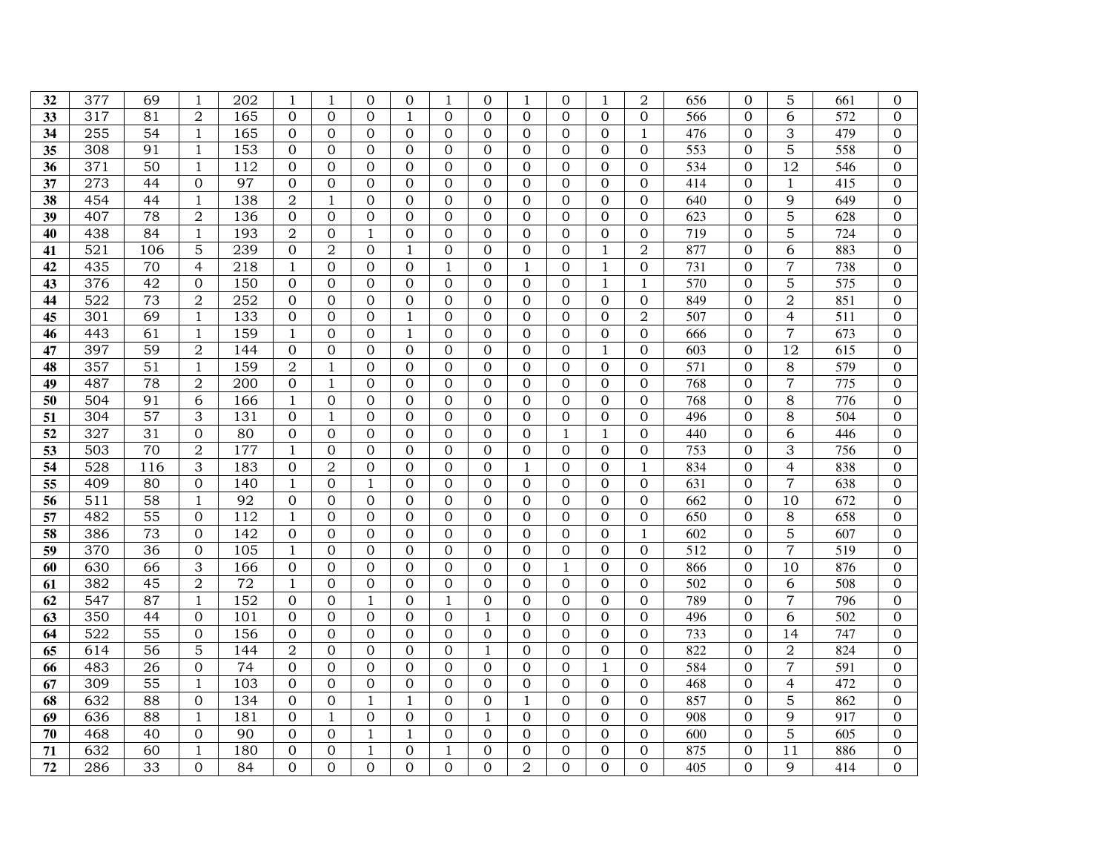| 32              | 377              | 69              | 1                              | 202              | 1                                | $\mathbf{1}$         | $\Omega$                       | $\mathbf{0}$                     | 1                          | $\Omega$                       | 1                    | $\mathbf{0}$         | 1                                | $\overline{2}$             | 656              | $\Omega$                         | 5                   | 661              | 0                                |
|-----------------|------------------|-----------------|--------------------------------|------------------|----------------------------------|----------------------|--------------------------------|----------------------------------|----------------------------|--------------------------------|----------------------|----------------------|----------------------------------|----------------------------|------------------|----------------------------------|---------------------|------------------|----------------------------------|
| $\overline{33}$ | 317              | 81              | $\overline{2}$                 | 165              | $\overline{0}$                   | $\Omega$             | $\Omega$                       | $\mathbf{1}$                     | $\Omega$                   | $\Omega$                       | $\overline{0}$       | $\Omega$             | $\Omega$                         | $\overline{0}$             | 566              | $\Omega$                         | 6                   | 572              | $\overline{0}$                   |
| 34              | 255              | 54              | $\mathbf{1}$                   | 165              | $\mathbf 0$                      | $\Omega$             | $\Omega$                       | $\overline{0}$                   | $\Omega$                   | $\mathbf{0}$                   | $\mathbf{0}$         | $\overline{0}$       | $\mathbf{0}$                     | $\mathbf{1}$               | 476              | $\overline{0}$                   | 3                   | 479              | 0                                |
| 35              | 308              | 91              | $\mathbf{1}$                   | 153              | $\overline{0}$                   | $\Omega$             | $\mathbf{0}$                   | $\boldsymbol{0}$                 | $\Omega$                   | $\mathbf{0}$                   | $\mathbf{O}$         | $\overline{0}$       | $\overline{0}$                   | $\overline{0}$             | 553              | $\overline{0}$                   | 5                   | 558              | 0                                |
| 36              | 371              | 50              | $\mathbf{1}$                   | 112              | $\mathbf 0$                      | $\Omega$             | $\Omega$                       | $\overline{0}$                   | 0                          | $\Omega$                       | $\Omega$             | $\Omega$             | $\Omega$                         | $\Omega$                   | $\overline{534}$ | $\Omega$                         | $\overline{12}$     | 546              | 0                                |
| 37              | 273              | 44              | $\overline{0}$                 | 97               | $\mathbf{0}$                     | $\Omega$             | $\mathbf{0}$                   | $\overline{0}$                   | $\Omega$                   | $\mathbf{0}$                   | $\Omega$             | $\overline{0}$       | $\overline{0}$                   | $\overline{0}$             | 414              | $\overline{0}$                   | $\mathbf{1}$        | 415              | $\overline{0}$                   |
| 38              | 454              | 44              | $\mathbf{1}$                   | 138              | $\overline{2}$                   | $\mathbf{1}$         | $\overline{0}$                 | $\overline{0}$                   | $\Omega$                   | $\overline{0}$                 | $\overline{0}$       | $\Omega$             | $\overline{0}$                   | $\Omega$                   | 640              | $\overline{0}$                   | 9                   | 649              | $\overline{0}$                   |
| 39              | 407              | 78              | $\overline{2}$                 | 136              | $\overline{0}$                   | $\Omega$             | $\overline{0}$                 | $\mathbf{0}$                     | $\Omega$                   | $\overline{0}$                 | $\Omega$             | $\Omega$             | $\overline{0}$                   | $\overline{0}$             | $\overline{623}$ | $\overline{0}$                   | 5                   | $\overline{628}$ | $\overline{0}$                   |
| 40              | 438              | 84              | $\,1$                          | 193              | $\mathbf 2$                      | $\Omega$             | $\mathbf{1}$                   | $\boldsymbol{0}$                 | $\Omega$                   | $\Omega$                       | $\Omega$             | $\Omega$             | $\mathbf 0$                      | $\Omega$                   | 719              | $\overline{0}$                   | 5                   | 724              | $\Omega$                         |
| 41              | $\overline{521}$ | 106             | 5                              | 239              | 0                                | 2                    | $\Omega$                       | $\mathbf{1}$                     | $\Omega$                   | $\Omega$                       | $\overline{0}$       | $\overline{0}$       | 1                                | $\overline{2}$             | 877              | $\Omega$                         | 6                   | 883              | 0                                |
| 42              | 435              | 70              | $\overline{4}$                 | 218              | $\mathbf{1}$                     | $\Omega$             | $\overline{0}$                 | $\overline{0}$                   | 1                          | $\overline{0}$                 | 1                    | $\Omega$             | $\mathbf{1}$                     | $\overline{0}$             | 731              | $\overline{0}$                   | $\overline{7}$      | 738              | $\overline{0}$                   |
| 43              | 376              | 42              | $\Omega$                       | 150              | $\mathbf{0}$                     | $\Omega$             | $\mathbf{0}$                   | $\mathbf{0}$                     | $\Omega$                   | $\overline{0}$                 | $\overline{0}$       | $\Omega$             | $\mathbf{1}$                     | 1                          | 570              | $\overline{0}$                   | 5                   | $\overline{575}$ | 0                                |
| 44              | 522              | $\overline{73}$ | $\overline{2}$                 | 252              | $\overline{0}$                   | $\Omega$             | $\overline{0}$                 | $\overline{0}$                   | $\Omega$                   | $\overline{0}$                 | $\overline{0}$       | $\Omega$             | $\overline{0}$                   | $\overline{0}$             | 849              | $\overline{0}$                   | $\overline{2}$      | 851              | $\overline{0}$                   |
| 45              | 301              | 69              | $\mathbf{1}$                   | 133              | $\boldsymbol{0}$                 | $\Omega$             | $\overline{0}$                 | $\mathbf{1}$                     | $\Omega$                   | $\overline{0}$                 | $\overline{0}$       | $\Omega$             | $\overline{0}$                   | $\overline{2}$             | 507              | $\overline{0}$                   | $\overline{4}$      | 511              | $\overline{0}$                   |
| 46              | 443              | 61              | $\mathbf{1}$                   | 159              | $\mathbf{1}$                     | $\Omega$             | $\Omega$                       | $\mathbf{1}$                     | $\Omega$                   | $\Omega$                       | $\Omega$             | $\overline{0}$       | $\Omega$                         | $\Omega$                   | 666              | $\Omega$                         | $\overline{7}$      | $\overline{673}$ | $\overline{0}$                   |
| 47              | 397              | 59              | $\overline{2}$                 | 144              | $\overline{0}$                   | $\Omega$             | $\Omega$                       | $\mathbf{0}$                     | $\Omega$                   | $\mathbf{0}$                   | $\Omega$             | $\mathbf{0}$         | $\mathbf{1}$                     | $\Omega$                   | 603              | $\overline{0}$                   | 12                  | 615              | $\overline{0}$                   |
| 48              | 357              | 51              | $\mathbf{1}$                   | 159              | $\overline{2}$                   | $\mathbf{1}$         | $\mathbf{0}$                   | $\overline{0}$                   | $\Omega$                   | $\overline{0}$                 | $\mathbf{O}$         | $\mathbf{0}$         | $\overline{0}$                   | $\overline{0}$             | $\overline{571}$ | $\mathbf{0}$                     | 8                   | 579              | $\overline{0}$                   |
| 49              | 487              | 78              | $\overline{2}$                 | 200              | $\mathbf 0$                      | $\mathbf{1}$         | $\Omega$                       | $\overline{0}$                   | $\Omega$                   | $\Omega$                       | $\Omega$             | $\Omega$             | $\Omega$                         | $\Omega$                   | 768              | $\Omega$                         | 7                   | 775              | 0                                |
| 50              | 504              | 91              | 6                              | 166              | $\mathbf{1}$                     | $\Omega$             | $\Omega$                       | $\overline{0}$                   | $\Omega$                   | $\Omega$                       | $\overline{0}$       | $\mathbf{0}$         | $\Omega$                         | $\Omega$                   | 768              | $\overline{0}$                   | 8                   | 776              | $\overline{0}$                   |
| 51              | 304              | 57              | 3                              | 131              | $\mathbf{0}$                     | $\mathbf{1}$         | $\overline{0}$                 | $\overline{0}$                   | $\Omega$                   | $\overline{0}$                 | $\overline{0}$       | $\overline{0}$       | $\overline{0}$                   | $\Omega$                   | 496              | $\overline{0}$                   | 8                   | 504              | $\overline{0}$                   |
| 52              | 327              | 31              | $\overline{0}$                 | 80               | $\boldsymbol{0}$                 | $\Omega$             | $\overline{0}$                 | $\overline{0}$                   | $\Omega$                   | $\overline{0}$                 | $\Omega$             | $\mathbf{1}$         | $\mathbf{1}$                     | $\overline{0}$             | 440              | $\overline{0}$                   | 6                   | 446              | $\overline{0}$                   |
| 53              | 503              | $\overline{70}$ | $\overline{2}$                 | 177              | $\mathbf{1}$                     | $\overline{0}$       | $\overline{0}$                 | $\overline{0}$                   | $\Omega$                   | $\overline{0}$                 | $\overline{0}$       | $\Omega$             | $\overline{0}$                   | $\overline{0}$             | 753              | $\overline{0}$                   | $\overline{3}$      | 756              | $\overline{0}$                   |
| 54              | 528              | 116             | 3                              | 183              | $\overline{0}$                   | $\overline{2}$       | $\Omega$                       | $\overline{0}$                   | $\Omega$                   | $\Omega$                       | $\mathbf{1}$         | $\Omega$             | $\Omega$                         | $\mathbf{1}$               | 834              | $\overline{0}$                   | $\overline{4}$      | 838              | $\mathbf 0$                      |
| 55              | 409              | 80              | $\overline{0}$                 | 140              | $\mathbf{1}$                     | $\Omega$             | $\mathbf{1}$                   | $\overline{0}$                   | $\Omega$                   | $\overline{0}$                 | $\overline{0}$       | $\Omega$             | $\overline{0}$                   | $\overline{0}$             | $\overline{631}$ | $\overline{0}$                   | $\overline{7}$      | 638              | $\overline{0}$                   |
| 56              | 511              | 58              | $\mathbf{1}$                   | 92               | $\mathbf 0$                      | $\Omega$             | $\mathbf{0}$                   | $\overline{0}$                   | $\Omega$                   | $\overline{0}$                 | $\boldsymbol{0}$     | $\overline{0}$       | $\overline{0}$                   | $\mathbf{0}$               | 662              | $\overline{0}$                   | 10                  | 672              | $\overline{0}$                   |
| 57              | 482              | 55              | $\overline{0}$                 | $\overline{112}$ | $\mathbf{1}$                     | $\Omega$             | $\overline{0}$                 | $\overline{0}$                   | $\Omega$                   | $\overline{0}$                 | $\Omega$             | $\Omega$             | $\overline{0}$                   | $\overline{0}$             | 650              | $\overline{0}$                   | 8                   | 658              | $\overline{0}$                   |
| 58              | 386              | 73              | $\Omega$                       | 142              | $\overline{0}$                   | $\Omega$             | $\overline{0}$                 | $\mathbf{0}$                     | $\Omega$                   | $\Omega$                       | $\Omega$             | $\Omega$             | $\Omega$                         | 1                          | 602              | $\overline{0}$                   | 5                   | 607              | $\overline{0}$                   |
| 59              | 370              | 36              | $\mathbf 0$                    | 105              | $\mathbf{1}$                     | $\Omega$             | $\Omega$                       | $\overline{0}$                   | $\overline{0}$             | $\Omega$                       | $\overline{0}$       | $\overline{0}$       | $\Omega$                         | $\Omega$                   | 512              | $\Omega$                         | $\overline{7}$      | 519              | $\mathbf 0$                      |
| 60              | 630              | 66              | 3                              | 166              | $\overline{0}$                   | $\Omega$             | $\overline{0}$                 | $\overline{0}$                   | $\Omega$                   | $\overline{0}$                 | $\Omega$             | $\mathbf{1}$         | $\overline{0}$                   | $\Omega$                   | 866              | $\overline{0}$                   | 10                  | 876              | $\overline{0}$                   |
| 61              | 382              | 45              | $\overline{2}$                 | 72               | $1\,$                            | $\Omega$             | $\boldsymbol{0}$               | $\boldsymbol{0}$                 | 0                          | $\overline{0}$                 | $\overline{0}$       | $\mathbf{0}$         | $\overline{0}$                   | $\mathbf 0$                | 502              | $\overline{0}$                   | 6                   | 508              | $\overline{0}$                   |
| 62<br>63        | 547              | 87              | $\mathbf{1}$<br>$\overline{0}$ | 152<br>101       | $\overline{0}$<br>$\overline{0}$ | $\Omega$<br>$\Omega$ | $\mathbf{1}$<br>$\overline{0}$ | $\overline{0}$<br>$\overline{0}$ | 1                          | $\overline{0}$<br>$\mathbf{1}$ | $\Omega$<br>$\Omega$ | $\Omega$<br>$\Omega$ | $\overline{0}$<br>$\overline{0}$ | $\overline{0}$<br>$\Omega$ | 789              | $\overline{0}$<br>$\overline{0}$ | $\overline{7}$<br>6 | 796              | $\overline{0}$<br>$\overline{0}$ |
| 64              | 350<br>522       | 44<br>55        | $\mathbf{0}$                   | 156              | $\boldsymbol{0}$                 | $\overline{0}$       | $\overline{0}$                 | $\overline{0}$                   | $\Omega$<br>$\overline{0}$ | $\overline{0}$                 | $\overline{0}$       | $\overline{0}$       | $\mathbf{0}$                     | $\overline{0}$             | 496<br>733       | $\overline{0}$                   | 14                  | 502<br>747       | $\mathbf 0$                      |
| $\overline{65}$ | $\overline{614}$ | $\overline{56}$ | $\overline{5}$                 | 144              | $\overline{2}$                   | $\overline{0}$       | $\overline{0}$                 | $\overline{0}$                   | $\Omega$                   | $\mathbf{1}$                   | $\overline{0}$       | $\overline{0}$       | $\overline{0}$                   | $\overline{0}$             | 822              | $\overline{0}$                   | $\overline{2}$      | 824              | $\overline{0}$                   |
| 66              | 483              | 26              | $\overline{0}$                 | 74               | $\overline{0}$                   | $\Omega$             | $\overline{0}$                 | $\overline{0}$                   | $\Omega$                   | $\overline{0}$                 | $\overline{0}$       | $\mathbf{0}$         | $\mathbf{1}$                     | $\Omega$                   | 584              | $\overline{0}$                   | 7                   | 591              | $\overline{0}$                   |
| 67              | 309              | 55              | $\mathbf{1}$                   | 103              | $\mathbf{0}$                     | $\Omega$             | $\Omega$                       | $\overline{0}$                   | $\Omega$                   | $\Omega$                       | $\Omega$             | $\Omega$             | $\Omega$                         | $\Omega$                   | 468              | $\Omega$                         | $\overline{4}$      | 472              | 0                                |
| 68              | 632              | 88              | $\overline{0}$                 | 134              | $\overline{0}$                   | $\Omega$             | $\mathbf{1}$                   | 1                                | $\Omega$                   | $\overline{0}$                 | 1                    | $\mathbf{0}$         | $\overline{0}$                   | $\Omega$                   | 857              | $\overline{0}$                   | 5                   | 862              | $\overline{0}$                   |
| 69              | 636              | 88              | $\mathbf{1}$                   | 181              | $\Omega$                         | $\mathbf{1}$         | $\Omega$                       | $\Omega$                         | $\Omega$                   | $\mathbf{1}$                   | $\Omega$             | $\Omega$             | $\Omega$                         | $\Omega$                   | 908              | $\Omega$                         | 9                   | 917              | $\mathbf 0$                      |
| 70              | 468              | 40              | $\Omega$                       | 90               | $\Omega$                         | $\Omega$             | $\mathbf{1}$                   | $\mathbf{1}$                     | $\Omega$                   | $\Omega$                       | $\Omega$             | $\Omega$             | $\Omega$                         | $\Omega$                   | 600              | $\Omega$                         | 5                   | 605              | 0                                |
| 71              | 632              | 60              | $\mathbf{1}$                   | 180              | $\overline{0}$                   | $\overline{0}$       | $\mathbf{1}$                   | $\overline{0}$                   | 1                          | $\overline{0}$                 | $\overline{0}$       | $\mathbf{0}$         | $\overline{0}$                   | $\Omega$                   | 875              | $\overline{0}$                   | 11                  | 886              | $\overline{0}$                   |
| 72              | 286              | 33              | $\Omega$                       | 84               | $\Omega$                         | $\Omega$             | $\Omega$                       | $\Omega$                         | $\Omega$                   | $\overline{0}$                 | $\overline{2}$       | $\Omega$             | $\Omega$                         | $\Omega$                   | 405              | $\Omega$                         | 9                   | 414              | 0                                |
|                 |                  |                 |                                |                  |                                  |                      |                                |                                  |                            |                                |                      |                      |                                  |                            |                  |                                  |                     |                  |                                  |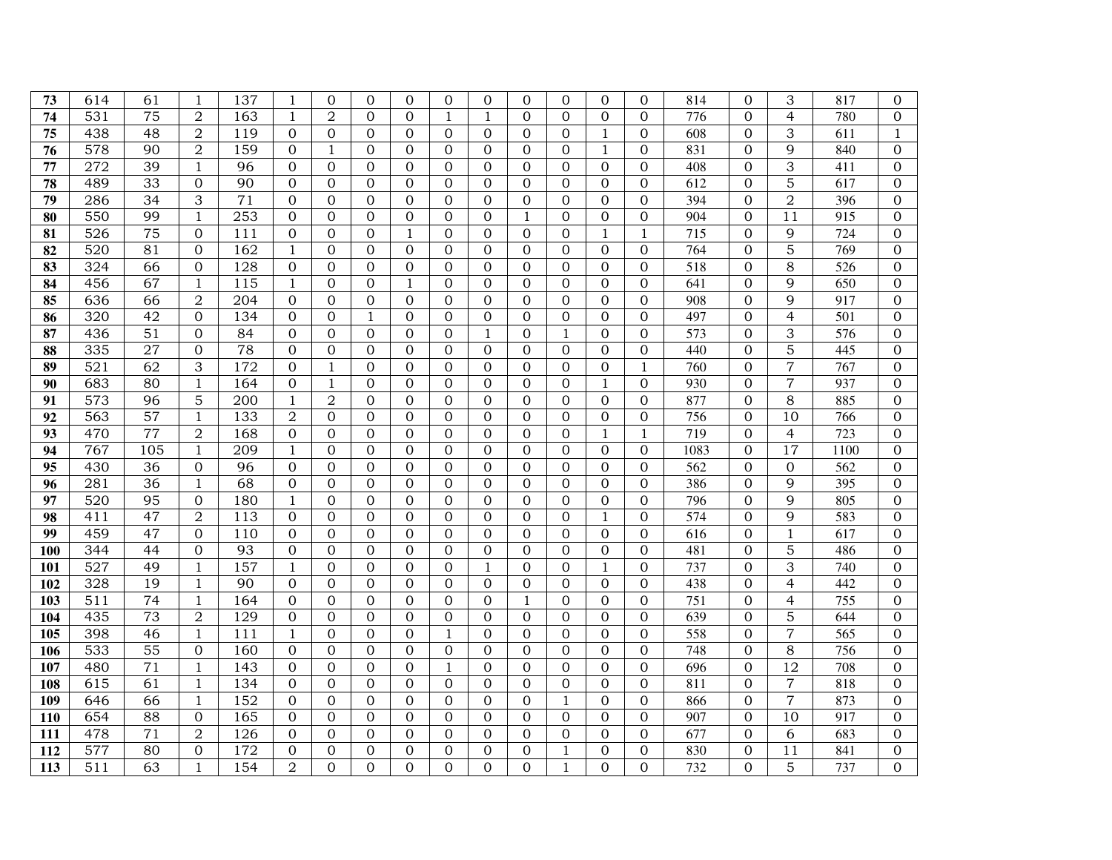| 73              | 614              | 61              | 1                              | 137              | 1                                  | $\Omega$             | $\overline{0}$           | 0                              | $\Omega$             | $\Omega$                 | $\Omega$                 | $\Omega$                   | $\Omega$                   | $\overline{0}$           | 814              | $\Omega$                   | 3                        | 817        | $\overline{0}$             |
|-----------------|------------------|-----------------|--------------------------------|------------------|------------------------------------|----------------------|--------------------------|--------------------------------|----------------------|--------------------------|--------------------------|----------------------------|----------------------------|--------------------------|------------------|----------------------------|--------------------------|------------|----------------------------|
| $\overline{74}$ | 531              | 75              | $\overline{2}$                 | 163              | $\mathbf{1}$                       | $\overline{2}$       | $\Omega$                 | $\Omega$                       | 1                    | $\mathbf{1}$             | $\Omega$                 | $\Omega$                   | $\Omega$                   | $\Omega$                 | $\overline{776}$ | $\Omega$                   | $\overline{4}$           | 780        | $\boldsymbol{0}$           |
| 75              | $43\overline{8}$ | 48              | $\overline{2}$                 | 119              | $\overline{0}$                     | $\Omega$             | $\Omega$                 | $\mathbf{0}$                   | $\Omega$             | $\overline{0}$           | $\overline{0}$           | $\Omega$                   | $\mathbf{1}$               | $\overline{0}$           | 608              | $\overline{0}$             | 3                        | 611        | $\mathbf{1}$               |
| 76              | 578              | 90              | $\overline{2}$                 | 159              | $\boldsymbol{0}$                   | $\mathbf{1}$         | $\mathbf{0}$             | $\overline{0}$                 | $\Omega$             | $\mathbf{0}$             | $\overline{0}$           | $\overline{0}$             | $\mathbf{1}$               | $\overline{0}$           | 831              | $\overline{0}$             | 9                        | 840        | $\overline{0}$             |
| 77              | 272              | 39              | $\mathbf{1}$                   | 96               | $\mathbf 0$                        | $\Omega$             | $\mathbf{0}$             | $\boldsymbol{0}$               | $\overline{0}$       | $\mathbf{0}$             | $\boldsymbol{0}$         | $\mathbf{0}$               | $\mathbf{0}$               | $\overline{0}$           | 408              | $\overline{0}$             | 3                        | 411        | $\boldsymbol{0}$           |
| 78              | 489              | 33              | $\overline{0}$                 | 90               | $\Omega$                           | $\Omega$             | $\Omega$                 | $\mathbf{0}$                   | $\Omega$             | $\Omega$                 | $\Omega$                 | $\Omega$                   | $\Omega$                   | $\Omega$                 | 612              | $\Omega$                   | $\overline{5}$           | 617        | $\Omega$                   |
| 79              | 286              | 34              | 3                              | $\overline{71}$  | $\mathbf 0$                        | $\Omega$             | $\Omega$                 | $\mathbf{0}$                   | $\Omega$             | $\mathbf{0}$             | $\Omega$                 | $\Omega$                   | $\Omega$                   | $\Omega$                 | 394              | $\overline{0}$             | $\overline{2}$           | 396        | $\boldsymbol{0}$           |
| 80              | 550              | 99              | $\mathbf{1}$                   | $\overline{253}$ | $\mathbf{0}$                       | $\Omega$             | $\Omega$                 | $\overline{0}$                 | $\Omega$             | $\Omega$                 | $\mathbf{1}$             | $\Omega$                   | $\Omega$                   | $\overline{0}$           | 904              | $\overline{0}$             | 11                       | 915        | $\overline{0}$             |
| 81              | $\overline{526}$ | $\overline{75}$ | $\overline{0}$                 | $\overline{111}$ | $\boldsymbol{0}$                   | $\Omega$             | $\Omega$                 | $\mathbf{1}$                   | $\Omega$             | $\overline{0}$           | $\overline{0}$           | $\overline{0}$             | $\mathbf{1}$               | $\mathbf{1}$             | 715              | $\overline{0}$             | 9                        | 724        | $\overline{0}$             |
| 82              | 520              | 81              | $\overline{0}$                 | 162              | $\mathbf{1}$                       | $\Omega$             | $\overline{0}$           | $\boldsymbol{0}$               | $\overline{0}$       | $\overline{0}$           | $\boldsymbol{0}$         | $\mathbf{0}$               | $\mathbf{0}$               | $\mathbf{0}$             | 764              | $\overline{0}$             | 5                        | 769        | $\boldsymbol{0}$           |
| 83              | 324              | 66              | $\boldsymbol{0}$               | 128              | $\mathbf 0$                        | $\Omega$             | $\Omega$                 | $\Omega$                       | $\Omega$             | $\Omega$                 | $\Omega$                 | $\Omega$                   | $\Omega$                   | $\Omega$                 | 518              | $\Omega$                   | 8                        | 526        | $\Omega$                   |
| $\overline{84}$ | 456              | 67              | $\mathbf{1}$                   | 115              | $\mathbf{1}$                       | $\mathbf{0}$         | $\overline{0}$           | 1                              | $\Omega$             | $\overline{0}$           | $\overline{0}$           | $\overline{0}$             | $\overline{0}$             | $\overline{0}$           | $\overline{641}$ | $\overline{0}$             | 9                        | 650        | $\overline{0}$             |
| 85              | 636              | 66              | $\overline{2}$                 | 204              | $\mathbf{0}$                       | $\Omega$             | $\Omega$                 | $\overline{0}$                 | $\Omega$             | $\Omega$                 | $\Omega$                 | $\Omega$                   | $\Omega$                   | $\Omega$                 | 908              | $\overline{0}$             | 9                        | 917        | $\Omega$                   |
| 86              | 320              | 42              | $\mathbf 0$                    | 134              | $\boldsymbol{0}$                   | $\Omega$             | $\mathbf{1}$             | $\mathbf{0}$                   | $\overline{0}$       | $\overline{0}$           | $\mathbf{0}$             | $\mathbf 0$                | $\overline{0}$             | $\overline{0}$           | 497              | $\overline{0}$             | $\overline{4}$           | 501        | $\overline{0}$             |
| 87              | 436              | 51              | 0                              | 84               | $\mathbf 0$                        | $\Omega$             | $\overline{0}$           | 0                              | $\overline{0}$       | 1                        | $\boldsymbol{0}$         | 1                          | $\mathbf{0}$               | $\mathbf{0}$             | 573              | $\overline{0}$             | 3                        | 576        | 0                          |
| 88              | 335              | 27              | $\Omega$                       | 78               | $\Omega$                           | $\Omega$             | $\Omega$                 | $\Omega$                       | $\Omega$             | $\Omega$                 | $\Omega$                 | $\Omega$                   | $\Omega$                   | $\Omega$                 | 440              | $\Omega$                   | 5                        | 445        | $\Omega$                   |
| 89              | 521              | 62              | 3                              | 172              | $\Omega$                           | 1                    | $\Omega$                 | $\Omega$                       | $\Omega$             | $\Omega$                 | $\Omega$                 | $\Omega$                   | $\Omega$                   | $\mathbf{1}$             | 760              | $\Omega$                   | $\overline{7}$           | 767        | $\Omega$                   |
| 90              | 683              | 80              | $\mathbf{1}$                   | 164              | $\mathbf{0}$                       | 1                    | $\Omega$                 | $\mathbf{0}$                   | $\Omega$             | $\Omega$                 | $\Omega$                 | $\Omega$                   | $\mathbf{1}$               | $\Omega$                 | 930              | $\Omega$                   | $\overline{7}$           | 937        | $\Omega$                   |
| 91              | 573              | 96              | 5                              | 200              | $\mathbf{1}$                       | $\overline{2}$       | $\mathbf{0}$             | $\mathbf{0}$                   | $\overline{0}$       | $\overline{0}$           | $\overline{0}$           | $\mathbf 0$                | $\overline{0}$             | $\overline{0}$           | 877              | $\overline{0}$             | 8                        | 885        | $\overline{0}$             |
| 92              | 563              | 57              | $\mathbf{1}$                   | 133              | $\overline{2}$                     | $\Omega$             | $\Omega$                 | $\mathbf{0}$                   | $\Omega$             | $\Omega$                 | $\overline{0}$           | $\mathbf{0}$               | $\mathbf{0}$               | $\overline{0}$           | 756              | $\Omega$                   | 10                       | 766        | $\overline{0}$             |
| 93              | 470              | 77              | $\mathbf 2$                    | 168              | $\overline{0}$                     | $\Omega$             | $\Omega$                 | $\mathbf{0}$                   | $\Omega$             | $\mathbf{0}$             | $\mathbf{0}$             | $\overline{0}$             | $\mathbf{1}$               | $\mathbf{1}$             | 719              | $\overline{0}$             | $\overline{4}$           | 723        | $\boldsymbol{0}$           |
| 94              | 767              | 105             | $\mathbf{1}$                   | 209              | $\mathbf{1}$                       | $\Omega$             | $\overline{0}$           | $\Omega$                       | $\Omega$             | $\Omega$                 | $\Omega$                 | $\Omega$                   | $\Omega$                   | $\Omega$                 | 1083             | $\Omega$                   | $\overline{17}$          | 1100       | $\Omega$                   |
| 95              | 430              | 36              | $\overline{0}$                 | 96               | $\overline{0}$                     | $\Omega$             | $\Omega$                 | $\mathbf{0}$                   | $\Omega$             | $\Omega$                 | $\mathbf{0}$             | $\overline{0}$             | $\Omega$                   | $\overline{0}$           | 562              | $\overline{0}$             | 0                        | 562        | $\overline{0}$             |
| 96              | 281              | 36              | $\mathbf{1}$                   | 68               | $\overline{0}$                     | $\Omega$             | $\overline{0}$           | $\overline{0}$                 | $\Omega$             | $\overline{0}$           | $\mathbf{0}$             | $\overline{0}$             | $\overline{0}$             | $\overline{0}$           | 386              | $\overline{0}$             | 9                        | 395        | $\overline{0}$             |
| 97              | 520              | 95              | $\overline{0}$                 | 180              | $\mathbf{1}$                       | $\Omega$             | $\mathbf{0}$             | 0                              | $\Omega$             | $\Omega$                 | $\boldsymbol{0}$         | $\overline{0}$             | $\mathbf{0}$               | $\Omega$                 | 796              | $\overline{0}$             | 9                        | 805        | $\Omega$                   |
| 98              | 411              | 47              | $\overline{2}$                 | 113              | $\overline{0}$                     | $\Omega$             | $\Omega$                 | $\mathbf{0}$                   | $\Omega$             | $\Omega$                 | $\overline{0}$           | $\overline{0}$             | $\mathbf{1}$               | $\Omega$                 | 574              | $\overline{0}$             | 9                        | 583        | $\overline{0}$             |
| 99              | 459              | 47              | $\Omega$                       | 110              | $\Omega$                           | $\Omega$             | $\Omega$                 | $\Omega$                       | $\Omega$             | $\Omega$                 | $\Omega$                 | $\Omega$                   | $\Omega$                   | $\Omega$                 | 616              | $\Omega$                   | 1                        | 617        | $\Omega$                   |
| 100             | 344              | 44              | $\overline{0}$                 | 93               | $\mathbf{0}$                       | $\Omega$             | $\Omega$                 | $\mathbf{0}$                   | $\Omega$             | $\Omega$                 | $\Omega$                 | $\Omega$                   | $\Omega$                   | $\Omega$                 | 481              | $\Omega$                   | 5                        | 486        | $\Omega$                   |
| 101             | 527              | 49              | $\mathbf{1}$                   | 157              | $\mathbf{1}$                       | $\overline{0}$       | $\overline{0}$           | $\overline{0}$                 | $\Omega$             | $\mathbf{1}$             | $\overline{0}$           | $\Omega$                   | $\mathbf{1}$               | $\overline{0}$           | 737              | $\overline{0}$             | 3                        | 740        | $\overline{0}$             |
| 102             | 328<br>511       | 19<br>74        | $\mathbf{1}$                   | 90<br>164        | $\overline{0}$                     | $\Omega$             | $\mathbf{0}$<br>$\Omega$ | $\mathbf{0}$                   | $\Omega$             | $\mathbf{0}$<br>$\Omega$ | $\overline{0}$           | $\overline{0}$<br>$\Omega$ | $\overline{0}$<br>$\Omega$ | $\mathbf{0}$<br>$\Omega$ | 438              | $\overline{0}$<br>$\Omega$ | $\overline{\mathcal{L}}$ | 442        | $\overline{0}$             |
| 103<br>104      | 435              | 73              | $\mathbf{1}$<br>$\overline{2}$ | 129              | $\overline{0}$<br>$\boldsymbol{0}$ | $\Omega$<br>$\Omega$ | $\Omega$                 | $\mathbf{0}$<br>$\overline{0}$ | $\Omega$<br>$\Omega$ | $\Omega$                 | $\mathbf{1}$<br>$\Omega$ | $\Omega$                   | $\Omega$                   | $\Omega$                 | 751<br>639       | $\Omega$                   | $\overline{4}$<br>5      | 755<br>644 | $\overline{0}$<br>$\Omega$ |
| 105             | 398              | 46              | $\mathbf{1}$                   | $\overline{111}$ | $\mathbf{1}$                       | $\Omega$             | $\Omega$                 | $\overline{0}$                 | 1                    | $\Omega$                 | $\Omega$                 | $\Omega$                   | $\Omega$                   | $\overline{0}$           | 558              | $\Omega$                   | $\overline{7}$           | 565        | $\overline{0}$             |
| 106             | $\overline{533}$ | $\overline{55}$ | $\overline{0}$                 | 160              | $\overline{0}$                     | $\Omega$             | $\overline{0}$           | $\overline{0}$                 | $\Omega$             | $\overline{0}$           | $\overline{0}$           | $\overline{0}$             | $\overline{0}$             | $\overline{0}$           | 748              | $\overline{0}$             | $\overline{8}$           | 756        | $\overline{0}$             |
| 107             | 480              | $\overline{71}$ | $\mathbf{1}$                   | 143              | $\overline{0}$                     | $\Omega$             | $\overline{0}$           | $\overline{0}$                 | $\mathbf{1}$         | $\overline{0}$           | $\boldsymbol{0}$         | $\overline{0}$             | $\overline{0}$             | $\mathbf{0}$             | 696              | $\overline{0}$             | $\overline{12}$          | 708        | $\overline{0}$             |
| 108             | 615              | 61              | $\mathbf{1}$                   | 134              | $\mathbf{0}$                       | $\Omega$             | $\Omega$                 | $\mathbf{0}$                   | $\Omega$             | $\Omega$                 | $\Omega$                 | $\Omega$                   | $\Omega$                   | $\Omega$                 | 811              | $\Omega$                   | $\overline{7}$           | 818        | $\overline{0}$             |
| 109             | 646              | 66              | $\mathbf{1}$                   | 152              | $\overline{0}$                     | $\Omega$             | $\mathbf{0}$             | $\mathbf{0}$                   | $\Omega$             | $\mathbf{0}$             | $\overline{0}$           | $\mathbf{1}$               | $\mathbf{0}$               | $\overline{0}$           | 866              | $\mathbf{0}$               | $\overline{7}$           | 873        | $\boldsymbol{0}$           |
| 110             | 654              | 88              | $\Omega$                       | 165              | $\Omega$                           | $\Omega$             | $\Omega$                 | $\Omega$                       | $\Omega$             | $\Omega$                 | $\Omega$                 | $\Omega$                   | $\Omega$                   | $\Omega$                 | 907              | $\Omega$                   | $\overline{10}$          | 917        | $\Omega$                   |
| 111             | 478              | $\overline{71}$ | $\overline{2}$                 | 126              | $\overline{0}$                     | $\Omega$             | $\overline{0}$           | $\overline{0}$                 | $\Omega$             | $\overline{0}$           | $\overline{0}$           | $\overline{0}$             | $\overline{0}$             | $\Omega$                 | 677              | $\overline{0}$             | 6                        | 683        | $\overline{0}$             |
| 112             | 577              | 80              | $\overline{0}$                 | 172              | $\overline{0}$                     | $\Omega$             | $\Omega$                 | $\overline{0}$                 | $\Omega$             | $\overline{0}$           | $\Omega$                 | $\mathbf{1}$               | $\overline{0}$             | $\Omega$                 | 830              | $\overline{0}$             | 11                       | 841        | $\overline{0}$             |
| 113             | 511              | 63              | $\mathbf{1}$                   | 154              | $\overline{2}$                     | $\Omega$             | $\Omega$                 | $\Omega$                       | $\Omega$             | $\Omega$                 | $\Omega$                 | $\mathbf{1}$               | $\Omega$                   | $\Omega$                 | 732              | $\Omega$                   | 5                        | 737        | $\boldsymbol{0}$           |
|                 |                  |                 |                                |                  |                                    |                      |                          |                                |                      |                          |                          |                            |                            |                          |                  |                            |                          |            |                            |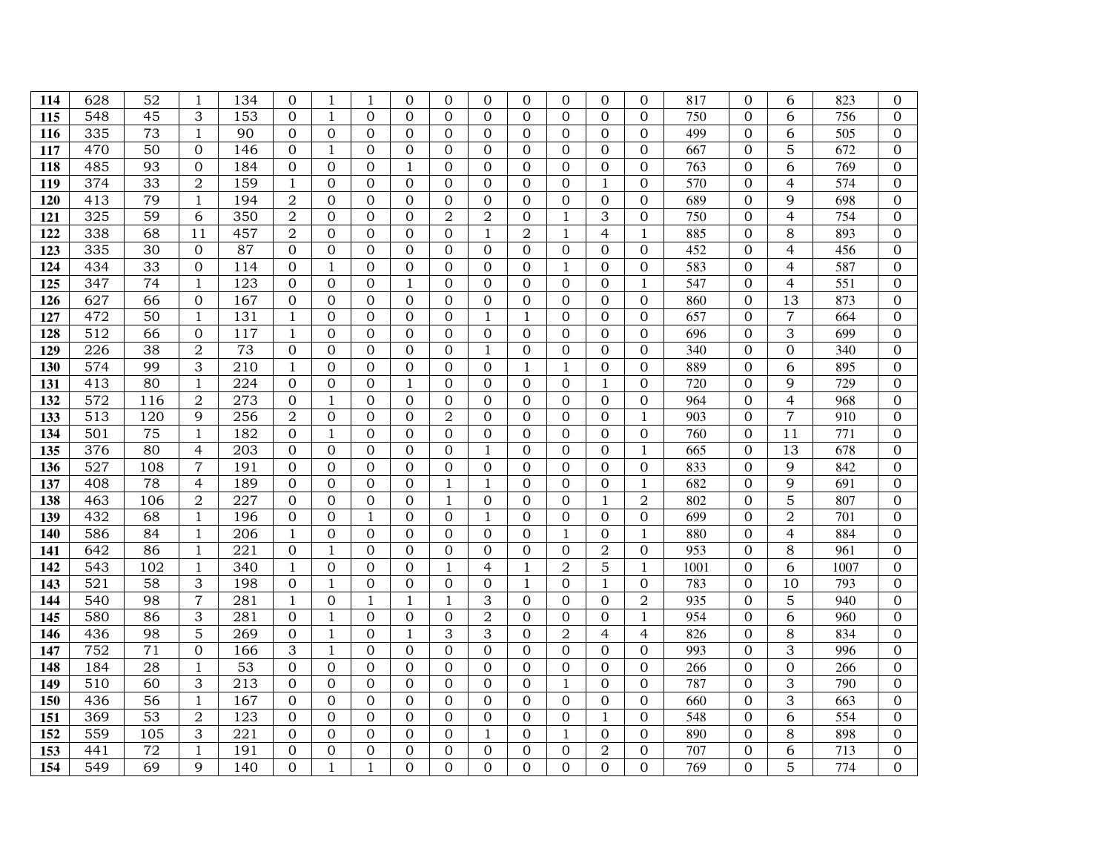| 115<br>116 | 548<br>335       | 45<br>73        | 3                   | 153        | $\Omega$                       |                |                      |                   |                |                            |                                  |                          |                          |                                |             |                            |                          |                  |                            |
|------------|------------------|-----------------|---------------------|------------|--------------------------------|----------------|----------------------|-------------------|----------------|----------------------------|----------------------------------|--------------------------|--------------------------|--------------------------------|-------------|----------------------------|--------------------------|------------------|----------------------------|
|            |                  |                 |                     |            |                                | $\mathbf{1}$   | $\Omega$             | $\overline{0}$    | $\Omega$       | $\Omega$                   | $\overline{0}$                   | $\Omega$                 | $\Omega$                 | $\Omega$                       | 750         | $\Omega$                   | 6                        | 756              | $\overline{0}$             |
|            |                  |                 | $\mathbf{1}$        | 90         | $\mathbf{0}$                   | $\Omega$       | $\mathbf 0$          | 0                 | $\Omega$       | $\overline{0}$             | $\boldsymbol{0}$                 | $\Omega$                 | $\mathbf{0}$             | $\Omega$                       | 499         | $\overline{0}$             | 6                        | 505              | $\Omega$                   |
| 117        | 470              | 50              | $\overline{0}$      | 146        | $\mathbf 0$                    | 1              | $\mathbf{0}$         | 0                 | $\mathbf{0}$   | $\mathbf 0$                | 0                                | $\overline{0}$           | $\overline{0}$           | $\overline{0}$                 | 667         | $\mathbf{0}$               | 5                        | 672              | $\boldsymbol{0}$           |
| 118        | 485              | 93              | $\Omega$            | 184        | $\overline{0}$                 | $\Omega$       | $\Omega$             | 1                 | $\Omega$       | $\Omega$                   | $\Omega$                         | $\Omega$                 | $\Omega$                 | $\Omega$                       | 763         | $\Omega$                   | 6                        | 769              | $\Omega$                   |
| 119        | 374              | 33              | $\overline{2}$      | 159        | $\mathbf{1}$                   | $\Omega$       | $\Omega$             | $\overline{0}$    | $\Omega$       | $\overline{0}$             | $\Omega$                         | $\Omega$                 | $\mathbf{1}$             | $\Omega$                       | 570         | $\overline{0}$             | $\overline{4}$           | 574              | $\overline{0}$             |
| 120        | 413              | 79              | $\mathbf{1}$        | 194        | $\overline{2}$                 | $\Omega$       | $\mathbf 0$          | 0                 | $\mathbf{0}$   | $\mathbf{0}$               | $\boldsymbol{0}$                 | $\mathbf{0}$             | $\mathbf{0}$             | $\Omega$                       | 689         | $\overline{0}$             | 9                        | 698              | $\overline{0}$             |
| 121        | 325              | 59              | 6                   | 350        | $\overline{2}$                 | $\overline{0}$ | $\Omega$             | $\Omega$          | $\overline{2}$ | $\overline{2}$             | $\overline{0}$                   | $\mathbf{1}$             | 3                        | $\overline{0}$                 | 750         | $\overline{0}$             | $\overline{4}$           | 754              | $\overline{0}$             |
| 122        | 338              | 68              | 11                  | 457        | $\mathbf 2$                    | $\Omega$       | $\Omega$             | 0                 | $\Omega$       | $\mathbf{1}$               | $\overline{2}$                   | $\mathbf{1}$             | $\overline{4}$           | $\mathbf{1}$                   | 885         | $\overline{0}$             | 8                        | 893              | $\Omega$                   |
| 123        | 335              | 30              | $\overline{0}$      | 87         | $\Omega$                       | $\Omega$       | $\Omega$             | 0                 | $\Omega$       | $\Omega$                   | $\Omega$                         | 0                        | $\Omega$                 | $\Omega$                       | 452         | $\Omega$                   | 4                        | 456              | $\overline{0}$             |
| 124        | 434              | 33              | $\overline{0}$      | 114        | $\overline{0}$                 | 1              | $\Omega$             | $\overline{0}$    | $\Omega$       | $\mathbf{0}$               | 0                                | $\mathbf{1}$             | $\overline{0}$           | $\overline{0}$                 | 583         | $\overline{0}$             | $\overline{4}$           | 587              | $\overline{0}$             |
| 125        | 347              | $\overline{74}$ | $\mathbf{1}$        | 123        | $\overline{0}$                 | $\Omega$       | $\overline{0}$       | $\mathbf{1}$      | $\Omega$       | $\overline{0}$             | $\overline{0}$                   | $\Omega$                 | $\overline{0}$           | $\mathbf{1}$                   | 547         | $\overline{0}$             | $\overline{4}$           | $\overline{551}$ | $\overline{0}$             |
| 126        | 627              | 66              | $\overline{0}$      | 167        | $\Omega$                       | $\Omega$       | $\Omega$             | $\overline{0}$    | $\Omega$       | $\overline{0}$             | $\overline{0}$                   | $\Omega$                 | $\overline{0}$           | $\Omega$                       | 860         | $\overline{0}$             | 13                       | 873              | $\overline{0}$             |
| 127        | 472              | 50              | $\mathbf{1}$        | 131        | $\mathbf{1}$                   | $\Omega$       | $\Omega$             | $\boldsymbol{0}$  | $\Omega$       | $\mathbf{1}$               | $\mathbf{1}$                     | $\Omega$                 | $\Omega$                 | $\Omega$                       | 657         | $\overline{0}$             | $\overline{7}$           | 664              | $\Omega$                   |
| 128        | 512              | 66              | $\overline{0}$      | 117        | $\mathbf{1}$                   | $\Omega$       | $\Omega$             | 0                 | $\Omega$       | $\mathbf{0}$               | $\Omega$                         | $\Omega$                 | $\Omega$                 | $\Omega$                       | 696         | $\Omega$                   | 3                        | 699              | $\overline{0}$             |
| 129        | 226              | 38              | $\overline{2}$      | 73         | $\overline{0}$                 | $\Omega$       | $\Omega$             | 0                 | $\Omega$       | $\mathbf{1}$               | $\boldsymbol{0}$                 | $\Omega$                 | $\Omega$                 | $\Omega$                       | 340         | $\overline{0}$             | $\overline{0}$           | 340              | $\Omega$                   |
| 130        | 574              | 99              | 3                   | 210        | $\mathbf{1}$                   | $\overline{0}$ | $\Omega$             | $\overline{0}$    | $\Omega$       | $\overline{0}$             | $\mathbf{1}$                     | $\mathbf{1}$             | $\overline{0}$           | $\overline{0}$                 | 889         | $\overline{0}$             | 6                        | 895              | $\overline{0}$             |
| 131        | 413              | 80              | $\mathbf{1}$        | 224        | $\overline{0}$                 | $\Omega$       | $\Omega$             | $\mathbf{1}$      | $\Omega$       | $\Omega$                   | $\Omega$                         | $\Omega$                 | $\mathbf{1}$             | $\Omega$                       | 720         | $\Omega$                   | 9                        | 729              | $\overline{0}$             |
| 132        | $\overline{572}$ | 116             | $\overline{2}$      | 273        | $\overline{0}$                 | 1              | $\Omega$             | $\mathbf{0}$      | $\Omega$       | $\mathbf{0}$               | 0                                | $\Omega$                 | $\Omega$                 | $\overline{0}$                 | 964         | $\Omega$                   | $\overline{4}$           | 968              | $\Omega$                   |
| 133        | 513              | 120             | 9                   | 256        | $\overline{2}$                 | $\Omega$       | $\Omega$             | $\overline{0}$    | $\overline{2}$ | $\overline{0}$             | $\overline{0}$                   | $\Omega$                 | $\overline{0}$           | $\mathbf{1}$                   | 903         | $\overline{0}$             | $\overline{7}$           | 910              | $\overline{0}$             |
| 134        | 501              | 75              | $\mathbf{1}$        | 182        | $\overline{0}$                 | $\mathbf{1}$   | $\Omega$             | $\overline{0}$    | $\Omega$       | $\Omega$                   | $\Omega$                         | $\Omega$                 | $\Omega$                 | $\overline{0}$                 | 760         | $\overline{0}$             | 11                       | 771              | $\Omega$                   |
| 135        | 376              | 80              | $\overline{4}$      | 203        | $\mathbf{0}$                   | $\Omega$       | $\Omega$             | $\mathbf{0}$      | $\Omega$       | $\mathbf{1}$               | $\Omega$                         | $\Omega$                 | $\Omega$                 | $\mathbf{1}$                   | 665         | $\overline{0}$             | 13                       | 678              | $\overline{0}$             |
| 136        | 527              | 108             | $\overline{7}$      | 191        | $\overline{0}$                 | $\Omega$       | $\overline{0}$       | 0                 | $\mathbf{0}$   | $\mathbf{0}$               | $\overline{0}$                   | $\mathbf 0$              | $\Omega$                 | $\Omega$                       | 833         | $\overline{0}$             | 9                        | 842              | $\overline{0}$             |
| 137        | 408              | 78              | $\overline{4}$      | 189        | $\mathbf{0}$                   | $\Omega$       | $\Omega$             | 0                 | 1              | $\mathbf{1}$               | $\boldsymbol{0}$                 | $\Omega$                 | $\mathbf{0}$             | $\mathbf{1}$                   | 682         | $\overline{0}$             | $\overline{9}$           | 691              | $\overline{0}$             |
| 138        | 463              | 106             | $\overline{2}$      | 227        | $\Omega$                       | $\Omega$       | $\mathbf 0$          | 0                 | 1              | $\overline{0}$             | $\overline{0}$                   | $\Omega$                 | $\mathbf{1}$             | $\overline{2}$                 | 802         | $\overline{0}$             | $\overline{5}$           | 807              | $\overline{0}$             |
| 139        | 432              | 68              | $1\,$               | 196        | $\overline{0}$                 | $\Omega$       | $\mathbf{1}$         | 0                 | $\Omega$       | $\mathbf{1}$               | $\Omega$                         | $\Omega$                 | $\Omega$                 | $\Omega$                       | 699         | $\overline{0}$             | $\sqrt{2}$               | 701              | $\boldsymbol{0}$           |
| 140        | 586              | 84              | $\mathbf{1}$        | 206        | $\mathbf{1}$                   | $\Omega$       | $\overline{0}$       | 0                 | $\Omega$       | $\overline{0}$             | $\Omega$                         | $\mathbf{1}$             | $\overline{0}$           | 1                              | 880         | $\overline{0}$             | $\overline{\mathcal{L}}$ | 884              | $\overline{0}$             |
| 141        | 642              | 86              | $\mathbf{1}$        | 221        | $\overline{0}$                 | 1              | $\Omega$             | 0                 | 0              | $\Omega$<br>$\overline{4}$ | $\overline{0}$                   | $\mathbf 0$              | $\overline{2}$           | $\Omega$                       | 953         | $\overline{0}$             | 8                        | 961              | $\overline{0}$             |
| 142<br>143 | 543<br>521       | 102<br>58       | $\mathbf{1}$        | 340<br>198 | $\mathbf{1}$                   | $\Omega$       | $\Omega$<br>$\Omega$ | 0                 | 1              |                            | 1                                | $\overline{2}$           | 5                        | $\mathbf{1}$                   | 1001<br>783 | $\Omega$<br>$\overline{0}$ | 6<br>10                  | 1007<br>793      | $\Omega$<br>$\overline{0}$ |
| 144        | 540              | 98              | 3<br>$\overline{7}$ | 281        | $\overline{0}$<br>$\mathbf{1}$ | 1<br>$\Omega$  | $\mathbf{1}$         | 0<br>$\mathbf{1}$ | 0<br>1         | $\overline{0}$<br>3        | $\mathbf{1}$<br>$\boldsymbol{0}$ | $\mathbf{0}$<br>$\Omega$ | $\mathbf{1}$<br>$\Omega$ | $\mathbf{0}$<br>$\overline{2}$ | 935         | $\overline{0}$             | 5                        | 940              | $\boldsymbol{0}$           |
| 145        | 580              | 86              | 3                   | 281        | $\overline{0}$                 | 1              | $\mathbf{0}$         | $\overline{0}$    | $\Omega$       | $\overline{2}$             | $\overline{0}$                   | $\Omega$                 | $\Omega$                 | $\mathbf{1}$                   | 954         | $\overline{0}$             | 6                        | 960              | $\overline{0}$             |
| 146        | 436              | 98              | 5                   | 269        | $\overline{0}$                 | 1              | $\mathbf 0$          | $\mathbf{1}$      | 3              | 3                          | $\overline{0}$                   | $\overline{2}$           | $\overline{4}$           | $\overline{4}$                 | 826         | $\overline{0}$             | 8                        | 834              | $\overline{0}$             |
| 147        | 752              | $\overline{71}$ | $\overline{0}$      | 166        | 3                              | $\mathbf{1}$   | $\overline{0}$       | $\overline{0}$    | $\Omega$       | $\overline{0}$             | $\overline{0}$                   | $\Omega$                 | $\overline{0}$           | $\overline{0}$                 | 993         | $\overline{0}$             | 3                        | 996              | $\overline{0}$             |
| 148        | 184              | 28              | $1\,$               | 53         | $\overline{0}$                 | $\Omega$       | $\overline{0}$       | $\overline{0}$    | $\Omega$       | $\overline{0}$             | 0                                | $\mathbf{0}$             | $\overline{0}$           | $\overline{0}$                 | 266         | $\overline{0}$             | $\boldsymbol{0}$         | 266              | $\overline{0}$             |
| 149        | 510              | 60              | 3                   | 213        | $\Omega$                       | $\Omega$       | $\Omega$             | 0                 | $\Omega$       | $\Omega$                   | $\Omega$                         | $\mathbf{1}$             | $\Omega$                 | $\Omega$                       | 787         | $\Omega$                   | 3                        | 790              | $\overline{0}$             |
| 150        | 436              | 56              | $\mathbf{1}$        | 167        | $\mathbf{0}$                   | $\Omega$       | $\Omega$             | 0                 | $\Omega$       | $\mathbf{0}$               | 0                                | $\Omega$                 | $\overline{0}$           | $\Omega$                       | 660         | $\overline{0}$             | 3                        | 663              | $\overline{0}$             |
| 151        | 369              | 53              | $\overline{2}$      | 123        | $\Omega$                       | $\Omega$       | $\Omega$             | 0                 | $\Omega$       | $\Omega$                   | $\Omega$                         | $\Omega$                 | $\mathbf{1}$             | $\Omega$                       | 548         | $\Omega$                   | 6                        | 554              | $\Omega$                   |
| 152        | 559              | 105             | 3                   | 221        | $\Omega$                       | $\Omega$       | $\Omega$             | $\Omega$          | $\Omega$       | $\mathbf{1}$               | $\Omega$                         | $\mathbf{1}$             | $\Omega$                 | $\Omega$                       | 890         | $\Omega$                   | 8                        | 898              | $\Omega$                   |
| 153        | 441              | 72              | $\mathbf{1}$        | 191        | $\mathbf{0}$                   | $\Omega$       | 0                    | $\overline{0}$    | $\Omega$       | $\overline{0}$             | $\Omega$                         | $\Omega$                 | $\overline{2}$           | $\Omega$                       | 707         | $\overline{0}$             | 6                        | 713              | $\overline{0}$             |
| 154        | 549              | 69              | 9                   | 140        | $\Omega$                       | 1              | 1                    | $\Omega$          | $\Omega$       | $\Omega$                   | $\Omega$                         | $\Omega$                 | $\Omega$                 | $\Omega$                       | 769         | $\Omega$                   | 5                        | 774              | $\mathbf{0}$               |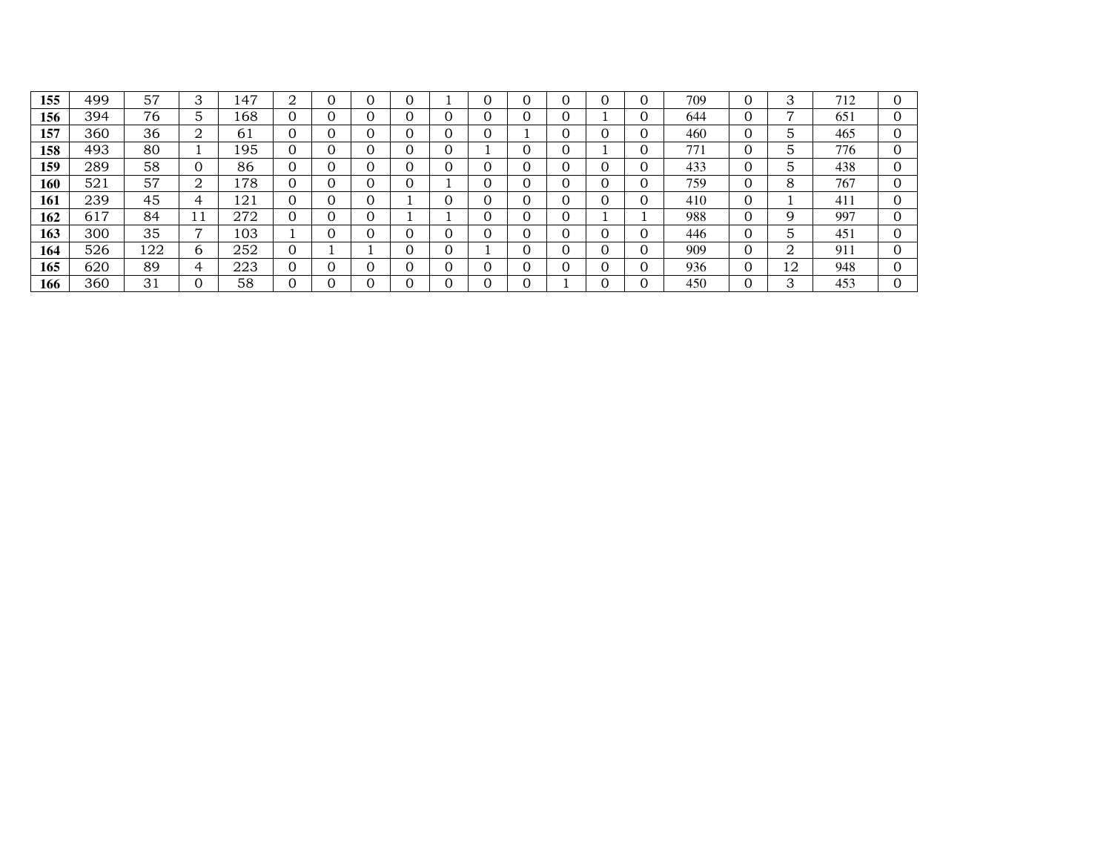| 155 | 499 | 57  | 3              | 147 | 2        | 0            |   |   |   |  | 709 | 0        | 3      | 712 |  |
|-----|-----|-----|----------------|-----|----------|--------------|---|---|---|--|-----|----------|--------|-----|--|
| 156 | 394 | 76  | 5              | 168 |          | O            |   |   | 0 |  | 644 | 0        | ⇁      | 651 |  |
| 157 | 360 | 36  | 2              | 61  |          | O            |   |   |   |  | 460 | 0        | 5      | 465 |  |
| 158 | 493 | 80  |                | 195 | 0        | 0            |   |   |   |  | 771 | $\Omega$ | 5      | 776 |  |
| 159 | 289 | 58  | 0              | 86  |          | O            |   | O | 0 |  | 433 | $\Omega$ | 5      | 438 |  |
| 160 | 521 | 57  | 2              | 178 | 0        | O            |   |   | 0 |  | 759 | 0        | 8      | 767 |  |
| 161 | 239 | 45  | 4              | 121 | 0        | O            |   |   | 0 |  | 410 | $\Omega$ |        | 411 |  |
| 162 | 617 | 84  | 11             | 272 | $\Omega$ | O            |   | O | 0 |  | 988 | $\Omega$ | 9      | 997 |  |
| 163 | 300 | 35  | $\overline{ }$ | 103 |          | O            |   |   | 0 |  | 446 | $\Omega$ | 5      | 451 |  |
| 164 | 526 | 122 | 6              | 252 | 0        |              | C |   | 0 |  | 909 | 0        | ∩<br>∠ | 911 |  |
| 165 | 620 | 89  | 4              | 223 | $\Omega$ | $\mathbf{0}$ |   | O |   |  | 936 | $\Omega$ | 12     | 948 |  |
| 166 | 360 | 31  | 0              | 58  |          |              |   |   | v |  | 450 | 0        | 3      | 453 |  |